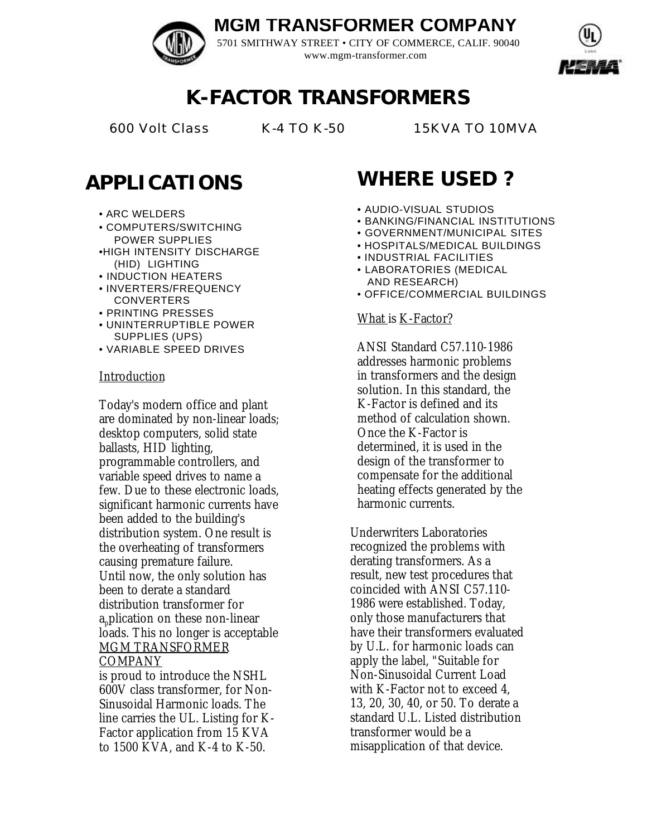## **MGM TRANSFORMER COMPANY**

5701 SMITHWAY STREET • CITY OF COMMERCE, CALIF. 90040 www.mgm-transformer.com



## **K-FACTOR TRANSFORMERS**

600 Volt Class K-4 TO K-50 15KVA TO 10MVA

## **APPLICATIONS**

- ARC WELDERS
- COMPUTERS/SWITCHING POWER SUPPLIES
- •HIGH INTENSITY DISCHARGE (HID) LIGHTING
- INDUCTION HEATERS
- INVERTERS/FREQUENCY CONVERTERS
- PRINTING PRESSES
- UNINTERRUPTIBLE POWER SUPPLIES (UPS)
- VARIABLE SPEED DRIVES

### Introduction

Today's modern office and plant are dominated by non-linear loads; desktop computers, solid state ballasts, HID lighting, programmable controllers, and variable speed drives to name a few. Due to these electronic loads, significant harmonic currents have been added to the building's distribution system. One result is the overheating of transformers causing premature failure. Until now, the only solution has been to derate a standard distribution transformer for application on these non-linear loads. This no longer is acceptable MGM TRANSFORMER COMPANY

is proud to introduce the NSHL 600V class transformer, for Non-Sinusoidal Harmonic loads. The line carries the UL. Listing for K-Factor application from 15 KVA to 1500 KVA, and K-4 to K-50.

# **WHERE USED ?**

- AUDIO-VISUAL STUDIOS
- BANKING/FINANCIAL INSTITUTIONS
- GOVERNMENT/MUNICIPAL SITES
- HOSPITALS/MEDICAL BUILDINGS
- INDUSTRIAL FACILITIES
- LABORATORIES (MEDICAL AND RESEARCH)
- OFFICE/COMMERCIAL BUILDINGS

### What is K-Factor?

ANSI Standard C57.110-1986 addresses harmonic problems in transformers and the design solution. In this standard, the K-Factor is defined and its method of calculation shown. Once the K-Factor is determined, it is used in the design of the transformer to compensate for the additional heating effects generated by the harmonic currents.

Underwriters Laboratories recognized the problems with derating transformers. As a result, new test procedures that coincided with ANSI C57.110- 1986 were established. Today, only those manufacturers that have their transformers evaluated by U.L. for harmonic loads can apply the label, "Suitable for Non-Sinusoidal Current Load with K-Factor not to exceed 4, 13, 20, 30, 40, or 50. To derate a standard U.L. Listed distribution transformer would be a misapplication of that device.